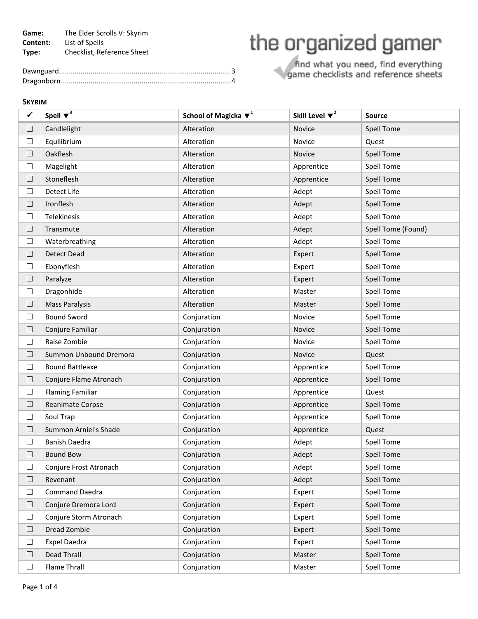**Game:** The Elder Scrolls V: Skyrim **Content:** List of Spells **Type:** Checklist, Reference Sheet

## the organized gamer

find what you need, find everything<br>game checklists and reference sheets

## **SKYRIM**

| ✓      | Spell $\blacktriangledown^3$ | School of Magicka $\blacktriangledown^1$ | Skill Level $\blacktriangledown^2$ | <b>Source</b>      |
|--------|------------------------------|------------------------------------------|------------------------------------|--------------------|
| ⊔      | Candlelight                  | Alteration                               | Novice                             | Spell Tome         |
| $\Box$ | Equilibrium                  | Alteration                               | Novice                             | Quest              |
| $\Box$ | Oakflesh                     | Alteration                               | Novice                             | Spell Tome         |
| □      | Magelight                    | Alteration                               | Apprentice                         | Spell Tome         |
| $\Box$ | Stoneflesh                   | Alteration                               | Apprentice                         | Spell Tome         |
| $\Box$ | Detect Life                  | Alteration                               | Adept                              | Spell Tome         |
| □      | Ironflesh                    | Alteration                               | Adept                              | Spell Tome         |
| $\Box$ | Telekinesis                  | Alteration                               | Adept                              | <b>Spell Tome</b>  |
| $\Box$ | Transmute                    | Alteration                               | Adept                              | Spell Tome (Found) |
| □      | Waterbreathing               | Alteration                               | Adept                              | Spell Tome         |
| $\Box$ | <b>Detect Dead</b>           | Alteration                               | Expert                             | Spell Tome         |
| □      | Ebonyflesh                   | Alteration                               | Expert                             | Spell Tome         |
| ⊔      | Paralyze                     | Alteration                               | Expert                             | Spell Tome         |
| $\Box$ | Dragonhide                   | Alteration                               | Master                             | Spell Tome         |
| $\Box$ | <b>Mass Paralysis</b>        | Alteration                               | Master                             | <b>Spell Tome</b>  |
| □      | <b>Bound Sword</b>           | Conjuration                              | Novice                             | Spell Tome         |
| $\Box$ | Conjure Familiar             | Conjuration                              | Novice                             | Spell Tome         |
| $\Box$ | Raise Zombie                 | Conjuration                              | Novice                             | Spell Tome         |
| □      | Summon Unbound Dremora       | Conjuration                              | Novice                             | Quest              |
| $\Box$ | <b>Bound Battleaxe</b>       | Conjuration                              | Apprentice                         | Spell Tome         |
| $\Box$ | Conjure Flame Atronach       | Conjuration                              | Apprentice                         | Spell Tome         |
| □      | <b>Flaming Familiar</b>      | Conjuration                              | Apprentice                         | Quest              |
| $\Box$ | Reanimate Corpse             | Conjuration                              | Apprentice                         | <b>Spell Tome</b>  |
| $\Box$ | Soul Trap                    | Conjuration                              | Apprentice                         | Spell Tome         |
| $\Box$ | Summon Arniel's Shade        | Conjuration                              | Apprentice                         | Quest              |
| $\Box$ | <b>Banish Daedra</b>         | Conjuration                              | Adept                              | Spell Tome         |
| $\Box$ | <b>Bound Bow</b>             | Conjuration                              | Adept                              | <b>Spell Tome</b>  |
| ⊔      | Conjure Frost Atronach       | Conjuration                              | Adept                              | <b>Spell Tome</b>  |
| $\Box$ | Revenant                     | Conjuration                              | Adept                              | <b>Spell Tome</b>  |
| $\Box$ | <b>Command Daedra</b>        | Conjuration                              | Expert                             | Spell Tome         |
| ⊔      | Conjure Dremora Lord         | Conjuration                              | Expert                             | Spell Tome         |
| $\Box$ | Conjure Storm Atronach       | Conjuration                              | Expert                             | Spell Tome         |
| □      | Dread Zombie                 | Conjuration                              | Expert                             | Spell Tome         |
| Ш      | <b>Expel Daedra</b>          | Conjuration                              | Expert                             | Spell Tome         |
| □      | Dead Thrall                  | Conjuration                              | Master                             | Spell Tome         |
| $\Box$ | Flame Thrall                 | Conjuration                              | Master                             | <b>Spell Tome</b>  |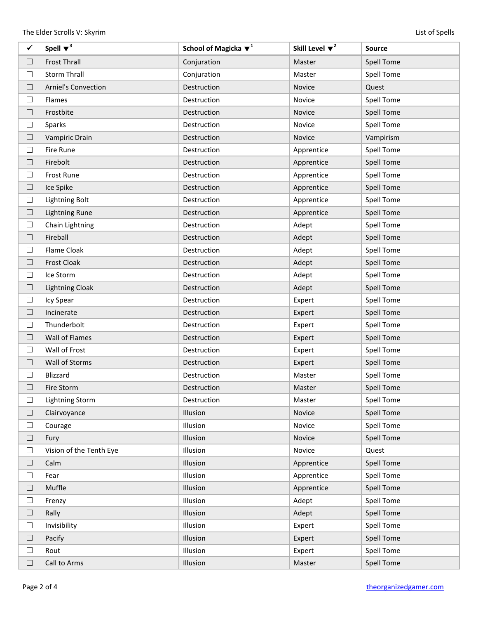| $\checkmark$ | Spell $\blacktriangledown^3$ | School of Magicka $\blacktriangledown^1$ | Skill Level $\blacktriangledown^2$ | Source            |
|--------------|------------------------------|------------------------------------------|------------------------------------|-------------------|
| $\Box$       | <b>Frost Thrall</b>          | Conjuration                              | Master                             | <b>Spell Tome</b> |
| $\Box$       | <b>Storm Thrall</b>          | Conjuration                              | Master                             | <b>Spell Tome</b> |
| $\Box$       | <b>Arniel's Convection</b>   | Destruction                              | Novice                             | Quest             |
| $\Box$       | Flames                       | Destruction                              | Novice                             | Spell Tome        |
| $\Box$       | Frostbite                    | Destruction                              | Novice                             | <b>Spell Tome</b> |
| $\Box$       | Sparks                       | Destruction                              | Novice                             | Spell Tome        |
| $\Box$       | Vampiric Drain               | Destruction                              | Novice                             | Vampirism         |
| $\Box$       | Fire Rune                    | Destruction                              | Apprentice                         | Spell Tome        |
| $\Box$       | Firebolt                     | Destruction                              | Apprentice                         | <b>Spell Tome</b> |
| $\Box$       | Frost Rune                   | Destruction                              | Apprentice                         | <b>Spell Tome</b> |
| $\Box$       | Ice Spike                    | Destruction                              | Apprentice                         | <b>Spell Tome</b> |
| $\Box$       | <b>Lightning Bolt</b>        | Destruction                              | Apprentice                         | Spell Tome        |
| $\Box$       | <b>Lightning Rune</b>        | Destruction                              | Apprentice                         | <b>Spell Tome</b> |
| $\Box$       | Chain Lightning              | Destruction                              | Adept                              | <b>Spell Tome</b> |
| $\Box$       | Fireball                     | Destruction                              | Adept                              | <b>Spell Tome</b> |
| $\Box$       | Flame Cloak                  | Destruction                              | Adept                              | <b>Spell Tome</b> |
| $\Box$       | <b>Frost Cloak</b>           | Destruction                              | Adept                              | <b>Spell Tome</b> |
| $\Box$       | Ice Storm                    | Destruction                              | Adept                              | <b>Spell Tome</b> |
| $\Box$       | <b>Lightning Cloak</b>       | Destruction                              | Adept                              | <b>Spell Tome</b> |
| $\Box$       | Icy Spear                    | Destruction                              | Expert                             | <b>Spell Tome</b> |
| $\Box$       | Incinerate                   | Destruction                              | Expert                             | <b>Spell Tome</b> |
| $\Box$       | Thunderbolt                  | Destruction                              | Expert                             | <b>Spell Tome</b> |
| $\Box$       | Wall of Flames               | Destruction                              | Expert                             | <b>Spell Tome</b> |
| $\Box$       | Wall of Frost                | Destruction                              | Expert                             | <b>Spell Tome</b> |
| $\Box$       | Wall of Storms               | Destruction                              | Expert                             | <b>Spell Tome</b> |
| $\Box$       | Blizzard                     | Destruction                              | Master                             | <b>Spell Tome</b> |
| $\Box$       | Fire Storm                   | Destruction                              | Master                             | <b>Spell Tome</b> |
| $\Box$       | <b>Lightning Storm</b>       | Destruction                              | Master                             | <b>Spell Tome</b> |
| $\Box$       | Clairvoyance                 | Illusion                                 | Novice                             | <b>Spell Tome</b> |
| $\Box$       | Courage                      | Illusion                                 | Novice                             | Spell Tome        |
| $\Box$       | Fury                         | Illusion                                 | Novice                             | <b>Spell Tome</b> |
| $\Box$       | Vision of the Tenth Eye      | Illusion                                 | Novice                             | Quest             |
| $\Box$       | Calm                         | Illusion                                 | Apprentice                         | <b>Spell Tome</b> |
| $\Box$       | Fear                         | Illusion                                 | Apprentice                         | <b>Spell Tome</b> |
| $\Box$       | Muffle                       | Illusion                                 | Apprentice                         | <b>Spell Tome</b> |
| $\Box$       | Frenzy                       | Illusion                                 | Adept                              | Spell Tome        |
| $\Box$       | Rally                        | Illusion                                 | Adept                              | <b>Spell Tome</b> |
| $\Box$       | Invisibility                 | Illusion                                 | Expert                             | Spell Tome        |
| $\Box$       | Pacify                       | Illusion                                 | Expert                             | <b>Spell Tome</b> |
| $\Box$       | Rout                         | Illusion                                 | Expert                             | Spell Tome        |
| $\Box$       | Call to Arms                 | Illusion                                 | Master                             | Spell Tome        |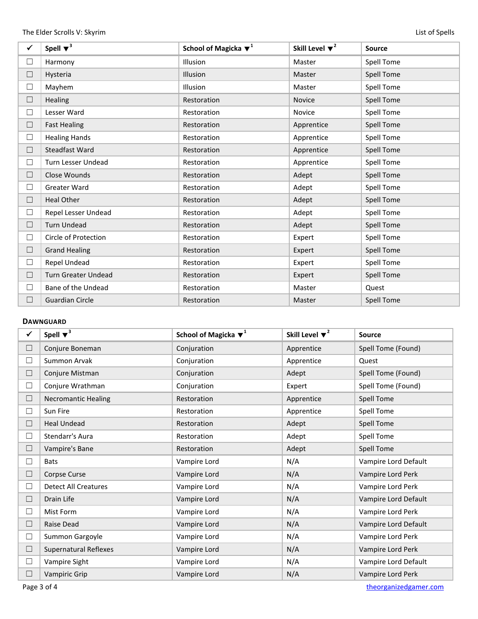| $\checkmark$ | Spell $\blacktriangledown^3$ | School of Magicka $\blacktriangledown^1$ | Skill Level $\blacktriangledown^2$ | <b>Source</b>     |
|--------------|------------------------------|------------------------------------------|------------------------------------|-------------------|
| $\Box$       | Harmony                      | <b>Illusion</b>                          | Master                             | Spell Tome        |
| $\Box$       | Hysteria                     | <b>Illusion</b>                          | Master                             | <b>Spell Tome</b> |
| $\Box$       | Mayhem                       | <b>Illusion</b>                          | Master                             | Spell Tome        |
| $\Box$       | Healing                      | Restoration                              | <b>Novice</b>                      | <b>Spell Tome</b> |
| $\Box$       | Lesser Ward                  | Restoration                              | Novice                             | Spell Tome        |
| $\Box$       | <b>Fast Healing</b>          | Restoration                              | Apprentice                         | <b>Spell Tome</b> |
| $\Box$       | <b>Healing Hands</b>         | Restoration                              | Apprentice                         | Spell Tome        |
| $\Box$       | <b>Steadfast Ward</b>        | Restoration                              | Apprentice                         | <b>Spell Tome</b> |
| $\Box$       | Turn Lesser Undead           | Restoration                              | Apprentice                         | <b>Spell Tome</b> |
| $\Box$       | Close Wounds                 | Restoration                              | Adept                              | <b>Spell Tome</b> |
| $\Box$       | Greater Ward                 | Restoration                              | Adept                              | Spell Tome        |
| □            | <b>Heal Other</b>            | Restoration                              | Adept                              | <b>Spell Tome</b> |
| $\Box$       | Repel Lesser Undead          | Restoration                              | Adept                              | Spell Tome        |
| $\Box$       | <b>Turn Undead</b>           | Restoration                              | Adept                              | <b>Spell Tome</b> |
| $\Box$       | Circle of Protection         | Restoration                              | Expert                             | Spell Tome        |
| $\Box$       | <b>Grand Healing</b>         | Restoration                              | Expert                             | <b>Spell Tome</b> |
| $\Box$       | Repel Undead                 | Restoration                              | Expert                             | Spell Tome        |
| $\Box$       | <b>Turn Greater Undead</b>   | Restoration                              | Expert                             | <b>Spell Tome</b> |
| □            | Bane of the Undead           | Restoration                              | Master                             | Quest             |
| $\Box$       | <b>Guardian Circle</b>       | Restoration                              | Master                             | <b>Spell Tome</b> |

## **DAWNGUARD**

| ✓      | Spell $\blacktriangledown^3$ | School of Magicka $\blacktriangledown^1$ | Skill Level $\blacktriangledown^2$ | <b>Source</b>        |
|--------|------------------------------|------------------------------------------|------------------------------------|----------------------|
| $\Box$ | Conjure Boneman              | Conjuration                              | Apprentice                         | Spell Tome (Found)   |
| ⊔      | Summon Arvak                 | Conjuration                              | Apprentice                         | Quest                |
| $\Box$ | Conjure Mistman              | Conjuration                              | Adept                              | Spell Tome (Found)   |
| ⊔      | Conjure Wrathman             | Conjuration                              | Expert                             | Spell Tome (Found)   |
| $\Box$ | <b>Necromantic Healing</b>   | Restoration                              | Apprentice                         | Spell Tome           |
| $\Box$ | Sun Fire                     | Restoration                              | Apprentice                         | Spell Tome           |
| $\Box$ | <b>Heal Undead</b>           | Restoration                              | Adept                              | <b>Spell Tome</b>    |
| $\Box$ | Stendarr's Aura              | Restoration                              | Adept                              | Spell Tome           |
| ⊔      | Vampire's Bane               | Restoration                              | Adept                              | <b>Spell Tome</b>    |
| $\Box$ | <b>Bats</b>                  | Vampire Lord                             | N/A                                | Vampire Lord Default |
| ⊔      | Corpse Curse                 | Vampire Lord                             | N/A                                | Vampire Lord Perk    |
| ш      | <b>Detect All Creatures</b>  | Vampire Lord                             | N/A                                | Vampire Lord Perk    |
| ⊔      | Drain Life                   | Vampire Lord                             | N/A                                | Vampire Lord Default |
| ⊔      | Mist Form                    | Vampire Lord                             | N/A                                | Vampire Lord Perk    |
| $\Box$ | Raise Dead                   | Vampire Lord                             | N/A                                | Vampire Lord Default |
| $\Box$ | Summon Gargoyle              | Vampire Lord                             | N/A                                | Vampire Lord Perk    |
| $\Box$ | <b>Supernatural Reflexes</b> | Vampire Lord                             | N/A                                | Vampire Lord Perk    |
| $\Box$ | Vampire Sight                | Vampire Lord                             | N/A                                | Vampire Lord Default |
| П      | <b>Vampiric Grip</b>         | Vampire Lord                             | N/A                                | Vampire Lord Perk    |